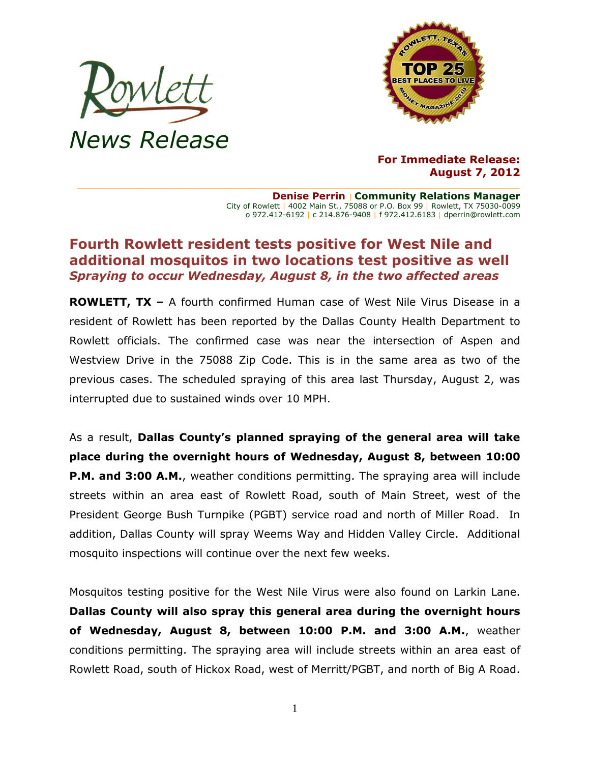



**For Immediate Release: August 7, 2012**

**Denise Perrin** | **Community Relations Manager** City of Rowlett | 4002 Main St., 75088 or P.O. Box 99 | Rowlett, TX 75030-0099 o 972.412-6192 | c 214.876-9408 | f 972.412.6183 | dperrin@rowlett.com

## **Fourth Rowlett resident tests positive for West Nile and additional mosquitos in two locations test positive as well** *Spraying to occur Wednesday, August 8, in the two affected areas*

**ROWLETT, TX –** A fourth confirmed Human case of West Nile Virus Disease in a resident of Rowlett has been reported by the Dallas County Health Department to Rowlett officials. The confirmed case was near the intersection of Aspen and Westview Drive in the 75088 Zip Code. This is in the same area as two of the previous cases. The scheduled spraying of this area last Thursday, August 2, was interrupted due to sustained winds over 10 MPH.

As a result, **Dallas County's planned spraying of the general area will take place during the overnight hours of Wednesday, August 8, between 10:00 P.M. and 3:00 A.M.**, weather conditions permitting. The spraying area will include streets within an area east of Rowlett Road, south of Main Street, west of the President George Bush Turnpike (PGBT) service road and north of Miller Road. In addition, Dallas County will spray Weems Way and Hidden Valley Circle. Additional mosquito inspections will continue over the next few weeks.

Mosquitos testing positive for the West Nile Virus were also found on Larkin Lane. **Dallas County will also spray this general area during the overnight hours of Wednesday, August 8, between 10:00 P.M. and 3:00 A.M.**, weather conditions permitting. The spraying area will include streets within an area east of Rowlett Road, south of Hickox Road, west of Merritt/PGBT, and north of Big A Road.